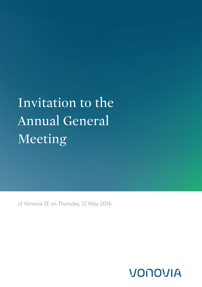# Invitation to the Annual General Meeting

of Vonovia SE on Thursday, 12 May 2016

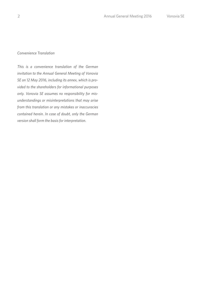## *Convenience Translation*

*This is a convenience translation of the German invitation to the Annual General Meeting of Vonovia SE on 12 May 2016, including its annex, which is provided to the shareholders for informational purposes only. Vonovia SE assumes no responsibility for misunderstandings or misinterpretations that may arise from this translation or any mistakes or inaccuracies contained herein. In case of doubt, only the German version shall form the basis for interpretation.*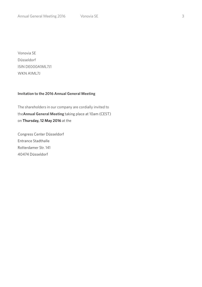Vonovia SE Düsseldorf ISIN DE000A1ML7J1 WKN A1ML7J

## **Invitation to the 2016 Annual General Meeting**

The shareholders in our company are cordially invited to the**Annual General Meeting** taking place at 10am (CEST) on **Thursday, 12 May 2016** at the

Congress Center Düsseldorf Entrance Stadthalle Rotterdamer Str. 141 40474 Düsseldorf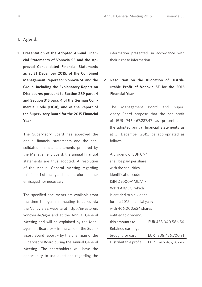## **I. Agenda**

**1. Presentation of the Adopted Annual Financial Statements of Vonovia SE and the Approved Consolidated Financial Statements as at 31 December 2015, of the Combined Management Report for Vonovia SE and the Group, including the Explanatory Report on Disclosures pursuant to Section 289 para. 4 and Section 315 para. 4 of the German Commercial Code (HGB), and of the Report of the Supervisory Board for the 2015 Financial Year**

 The Supervisory Board has approved the annual financial statements and the consolidated financial statements prepared by the Management Board; the annual financial statements are thus adopted. A resolution of the Annual General Meeting regarding this, item 1 of the agenda, is therefore neither envisaged nor necessary.

 The specified documents are available from the time the general meeting is called via the Vonovia SE website at http://investoren. vonovia.de/agm and at the Annual General Meeting and will be explained by the Management Board or – in the case of the Supervisory Board report – by the chairman of the Supervisory Board during the Annual General Meeting. The shareholders will have the opportunity to ask questions regarding the information presented, in accordance with their right to information.

## **2. Resolution on the Allocation of Distributable Profit of Vonovia SE for the 2015 Financial Year**

 The Management Board and Supervisory Board propose that the net profit of EUR 746,467,287.47 as presented in the adopted annual financial statements as at 31 December 2015, be appropriated as follows:

| A dividend of EUR 0.94       |     |                    |
|------------------------------|-----|--------------------|
| shall be paid per share      |     |                    |
| with the securities          |     |                    |
| identification code          |     |                    |
| ISIN DE000A1ML7J1 /          |     |                    |
| WKN A1ML7J, which            |     |                    |
| is entitled to a dividend    |     |                    |
| for the 2015 financial year; |     |                    |
| with 466,000,624 shares      |     |                    |
| entitled to dividend,        |     |                    |
| this amounts to              |     | EUR 438,040,586.56 |
| Retained earnings            |     |                    |
| brought forward              |     | EUR 308,426,700.91 |
| Distributable profit         | EUR | 746,467,287.47     |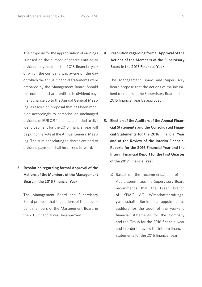The proposal for the appropriation of earnings is based on the number of shares entitled to dividend payment for the 2015 financial year of which the company was aware on the day on which the annual financial statements were prepared by the Management Board. Should this number of shares entitled to dividend payment change up to the Annual General Meeting, a resolution proposal that has been modified accordingly to comprise an unchanged dividend of EUR 0.94 per share entitled to dividend payment for the 2015 financial year will be put to the vote at the Annual General Meeting. The sum not relating to shares entitled to dividend payment shall be carried forward.

**3. Resolution regarding formal Approval of the Actions of the Members of the Management Board in the 2015 Financial Year**

 The Management Board and Supervisory Board propose that the actions of the incumbent members of the Management Board in the 2015 financial year be approved.

**4. Resolution regarding formal Approval of the Actions of the Members of the Supervisory Board in the 2015 Financial Year**

 The Management Board and Supervisory Board propose that the actions of the incumbent members of the Supervisory Board in the 2015 financial year be approved.

- **5. Election of the Auditors of the Annual Financial Statements and the Consolidated Financial Statements for the 2016 Financial Year and of the Review of the Interim Financial Reports for the 2016 Financial Year and the Interim Financial Report for the First Quarter of the 2017 Financial Year**
	- a) Based on the recommendations of its Audit Committee, the Supervisory Board recommends that the Essen branch of KPMG AG Wirtschaftsprüfungsgesellschaft, Berlin, be appointed as auditors for the audit of the year-end financial statements for the Company and the Group for the 2016 financial year and in order to review the interim financial statements for the 2016 financial year.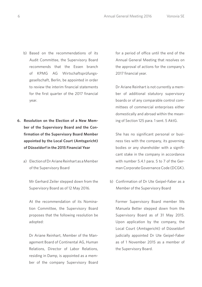- b) Based on the recommendations of its Audit Committee, the Supervisory Board recommends that the Essen branch of KPMG AG Wirtschaftsprüfungsgesellschaft, Berlin, be appointed in order to review the interim financial statements for the first quarter of the 2017 financial year.
- **6. Resolution on the Election of a New Member of the Supervisory Board and the Confirmation of the Supervisory Board Member appointed by the Local Court (Amtsgericht) of Düsseldorf in the 2015 Financial Year**
	- a) Election of Dr Ariane Reinhart as a Member of the Supervisory Board

 Mr Gerhard Zeiler stepped down from the Supervisory Board as of 12 May 2016.

 At the recommendation of its Nomination Committee, the Supervisory Board proposes that the following resolution be adopted:

 Dr Ariane Reinhart, Member of the Management Board of Continental AG, Human Relations, Director of Labor Relations, residing in Damp, is appointed as a member of the company Supervisory Board

for a period of office until the end of the Annual General Meeting that resolves on the approval of actions for the company's 2017 financial year.

 Dr Ariane Reinhart is not currently a member of additional statutory supervisory boards or of any comparable control committees of commercial enterprises either domestically and abroad within the meaning of Section 125 para. 1 sent. 5 AktG.

 She has no significant personal or business ties with the company, its governing bodies or any shareholder with a significant stake in the company in accordance with number 5.4.1 para. 5 to 7 of the German Corporate Governance Code (DCGK).

 b) Confirmation of Dr Ute Geipel-Faber as a Member of the Supervisory Board

 Former Supervisory Board member Ms Manuela Better stepped down from the Supervisory Board as of 31 May 2015. Upon application by the company, the Local Court (Amtsgericht) of Düsseldorf judicially appointed Dr Ute Geipel-Faber as of 1 November 2015 as a member of the Supervisory Board.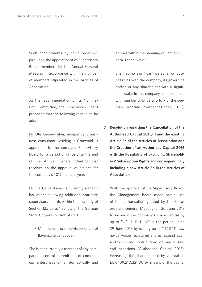Such appointments by court order expire upon the appointment of Supervisory Board members by the Annual General Meeting in accordance with the number of members stipulated in the Articles of Association.

 At the recommendation of its Nomination Committee, the Supervisory Board proposes that the following resolution be adopted:

 Dr Ute Geipel-Faber, independent business consultant, residing in Grünwald, is appointed to the company Supervisory Board for a period of office until the end of the Annual General Meeting that resolves on the approval of actions for the company's 2017 financial year.

 Dr Ute Geipel-Faber is currently a member of the following additional statutory supervisory boards within the meaning of Section 125 para. 1 sent 5 of the German Stock Corporation Act (AktG):

 • Member of the supervisory board of Bayerische Landesbank

 She is not currently a member of any comparable control committees of commercial enterprises either domestically and abroad within the meaning of Section 125 para. 1 sent. 5 AktG.

 She has no significant personal or business ties with the company, its governing bodies or any shareholder with a significant stake in the company in accordance with number 5.4.1 para. 5 to 7 of the German Corporate Governance Code (DCGK).

**7. Resolution regarding the Cancellation of the Authorised Capital 2015/II and the existing Article 5b of the Articles of Association and the Creation of an Authorised Capital 2016 with the Possibility of Excluding Shareholders' Subscription Rights and correspondingly Including a new Article 5b in the Articles of Association**

 With the approval of the Supervisory Board, the Management Board made partial use of the authorisation granted by the Extraordinary General Meeting on 30 June 2013 to increase the company's share capital by up to EUR 111,111,111.00 in the period up to 29 June 2018 by issuing up to 111,111,111 new no-par-value registered shares against cash and/or in kind contributions on one or several occasions (Authorised Capital 2013), increasing the share capital by a total of EUR 109,210,321.00 by means of the capital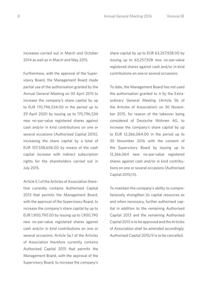increases carried out in March and October 2014 as well as in March and May 2015.

 Furthermore, with the approval of the Supervisory Board, the Management Board made partial use of the authorisation granted by the Annual General Meeting on 30 April 2015 to increase the company's share capital by up to EUR 170,796,534.00 in the period up to 29 April 2020 by issuing up to 170,796,534 new no-par-value registered shares against cash and/or in kind contributions on one or several occasions (Authorised Capital 2015), increasing the share capital by a total of EUR 107,538,606.00 by means of the cash capital increase with indirect subscription rights for the shareholders carried out in July 2015.

 Article 5.1 of the Articles of Association therefore currently contains Authorised Capital 2013 that permits the Management Board, with the approval of the Supervisory Board, to increase the company's share capital by up to EUR 1,900,790.00 by issuing up to 1,900,790 new no-par-value registered shares against cash and/or in kind contributions on one or several occasions. Article 5a.1 of the Articles of Association therefore currently contains Authorised Capital 2015 that permits the Management Board, with the approval of the Supervisory Board, to increase the company's

share capital by up to EUR 63,257,928.00 by issuing up to 63,257,928 new no-par-value registered shares against cash and/or in kind contributions on one or several occasions.

 To date, the Management Board has not used the authorisation granted to it by the Extraordinary General Meeting (Article 5b of the Articles of Association) on 30 November 2015, for reason of the takeover being considered of Deutsche Wohnen AG, to increase the company's share capital by up to EUR 12,266,064.00 in the period up to 30 November 2016 with the consent of the Supervisory Board by issuing up to 12,266,064 new no-par-value registered shares against cash and/or in kind contributions on one or several occasions (Authorised Capital 2015/II).

 To maintain the company's ability to comprehensively strengthen its capital resources as and when necessary, further authorised capital in addition to the remaining Authorised Capital 2013 and the remaining Authorised Capital 2015 is to be approved and the Articles of Association shall be amended accordingly. Authorised Capital 2015/II is to be cancelled.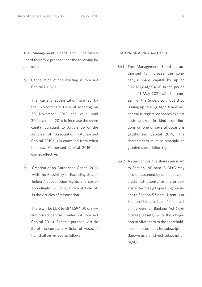The Management Board and Supervisory Board therefore propose that the following be approved:

 a) Cancellation of the existing Authorised Capital 2015/II

> The current authorisation granted by the Extraordinary General Meeting on 30 November 2015 and valid until 30 November 2016 to increase the share capital pursuant to Article 5b of the Articles of Association (Authorised Capital 2015/II) is cancelled from when the new Authorised Capital 2016 becomes effective.

 b) Creation of an Authorised Capital 2016 with the Possibility of Excluding Shareholders' Subscription Rights and correspondingly Including a new Article 5b in the Articles of Association

> There will be EUR 167,841,594.00 of new authorised capital created (Authorised Capital 2016). For this purpose, Article 5b of the company Articles of Association shall be revised as follows:

"Article 5b Authorised Capital

- 5b.1 The Management Board is authorised to increase the company's share capital by up to EUR 167,841,594.00 in the period up to 11 May 2021 with the consent of the Supervisory Board by issuing up to 167,841,594 new nopar-value registered shares against cash and/or in kind contributions on one or several occasions (Authorised Capital 2016). The shareholders must in principle be granted subscription rights.
- 5b.2 As part of this, the shares pursuant to Section 186 para. 5 AktG may also be assumed by one or several credit institution(s) or one or several enterprise(s) operating pursuant to Section 53 para. 1 sent. 1 or Section 53b para. 1 sent. 1 or para. 7 of the German Banking Act (Kreditwesengesetz) with the obligation to offer them to the shareholders of the company for subscription (known as an indirect subscription right).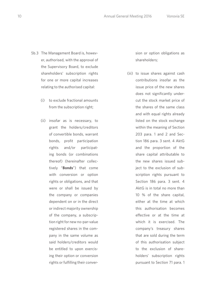- 5b.3 The Management Board is, however, authorised, with the approval of the Supervisory Board, to exclude shareholders' subscription rights for one or more capital increases relating to the authorised capital:
	- (i) to exclude fractional amounts from the subscription right;
	- (ii) insofar as is necessary, to grant the holders/creditors of convertible bonds, warrant bonds, profit participation rights and/or participating bonds (or combinations thereof) (hereinafter collectively "**Bonds**") that come with conversion or option rights or obligations, and that were or shall be issued by the company or companies dependent on or in the direct or indirect majority ownership of the company, a subscription right for new no-par-value registered shares in the company in the same volume as said holders/creditors would be entitled to upon exercising their option or conversion rights or fulfilling their conver-

sion or option obligations as shareholders;

 (iii) to issue shares against cash contributions insofar as the issue price of the new shares does not significantly undercut the stock market price of the shares of the same class and with equal rights already listed on the stock exchange within the meaning of Section 203 para. 1 and 2 and Section 186 para. 3 sent. 4 AktG and the proportion of the share capital attributable to the new shares issued subject to the exclusion of subscription rights pursuant to Section 186 para. 3 sent. 4 AktG is in total no more than 10 % of the share capital, either at the time at which this authorisation becomes effective or at the time at which it is exercised. The company's treasury shares that are sold during the term of this authorisation subject to the exclusion of shareholders' subscription rights pursuant to Section 71 para. 1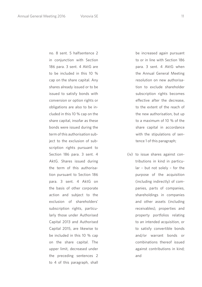no. 8 sent. 5 halfsentence 2 in conjunction with Section 186 para. 3 sent. 4 AktG are to be included in this 10 % cap on the share capital. Any shares already issued or to be issued to satisfy bonds with conversion or option rights or obligations are also to be included in this 10 % cap on the share capital, insofar as these bonds were issued during the term of this authorisation subject to the exclusion of subscription rights pursuant to Section 186 para. 3 sent. 4 AktG. Shares issued during the term of this authorisation pursuant to Section 186 para. 3 sent. 4 AktG on the basis of other corporate action and subject to the exclusion of shareholders' subscription rights, particularly those under Authorised Capital 2013 and Authorised Capital 2015, are likewise to be included in this 10 % cap on the share capital. The upper limit, decreased under the preceding sentences 2 to 4 of this paragraph, shall

be increased again pursuant to or in line with Section 186 para. 3 sent. 4 AktG when the Annual General Meeting resolution on new authorisation to exclude shareholder subscription rights becomes effective after the decrease, to the extent of the reach of the new authorisation, but up to a maximum of 10 % of the share capital in accordance with the stipulations of sentence 1 of this paragraph;

 (iv) to issue shares against contributions in kind in particular – but not solely – for the purpose of the acquisition (including indirectly) of companies, parts of companies, shareholdings in companies and other assets (including receivables), properties and property portfolios relating to an intended acquisition, or to satisfy convertible bonds and/or warrant bonds or combinations thereof issued against contributions in kind; and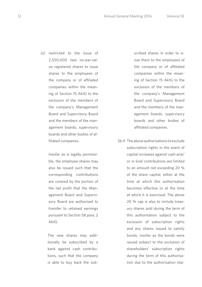(v) restricted to the issue of 2,500,000 new no-par-value registered shares to issue shares to the employees of the company or of affiliated companies within the meaning of Section 15 AktG to the exclusion of the members of the company's Management Board and Supervisory Board and the members of the management boards, supervisory boards and other bodies of affiliated companies.

> Insofar as is legally permissible, the employee shares may also be issued such that the corresponding contributions are covered by the portion of the net profit that the Management Board and Supervisory Board are authorised to transfer to retained earnings pursuant to Section 58 para. 2 AktG.

 The new shares may additionally be subscribed by a bank against cash contributions, such that the company is able to buy back the subscribed shares in order to issue them to the employees of the company or of affiliated companies within the meaning of Section 15 AktG to the exclusion of the members of the company's Management Board and Supervisory Board and the members of the management boards, supervisory boards and other bodies of affiliated companies.

 5b.4 The above authorisations to exclude subscription rights in the event of capital increases against cash and/ or in kind contributions are limited to an amount not exceeding 20 % of the share capital, either at the time at which this authorisation becomes effective or at the time at which it is exercised. The above 20 % cap is also to include treasury shares sold during the term of this authorisation subject to the exclusion of subscription rights and any shares issued to satisfy bonds, insofar as the bonds were issued subject to the exclusion of shareholders' subscription rights during the term of this authorisation due to the authorisation stip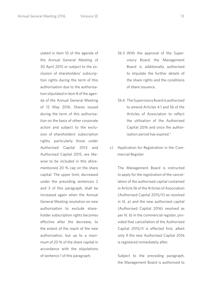ulated in item 10 of the agenda of the Annual General Meeting of 30 April 2015 or subject to the exclusion of shareholders' subscription rights during the term of this authorisation due to the authorisation stipulated in item 8 of the agenda of the Annual General Meeting of 12 May 2016. Shares issued during the term of this authorisation on the basis of other corporate action and subject to the exclusion of shareholders' subscription rights, particularly those under Authorised Capital 2013 and Authorised Capital 2015, are likewise to be included in this aforementioned 20 % cap on the share capital. The upper limit, decreased under the preceding sentences 2 and 3 of this paragraph, shall be increased again when the Annual General Meeting resolution on new authorisation to exclude shareholder subscription rights becomes effective after the decrease, to the extent of the reach of the new authorisation, but up to a maximum of 20 % of the share capital in accordance with the stipulations of sentence 1 of this paragraph;

- 5b.5 With the approval of the Supervisory Board, the Management Board is additionally authorised to stipulate the further details of the share rights and the conditions of share issuance.
- 5b.6 The Supervisory Board is authorised to amend Articles 4.1 and 5b of the Articles of Association to reflect the utilisation of the Authorised Capital 2016 and once the authorisation period has expired."
- c) Application for Registration in the Commercial Register

 The Management Board is instructed to apply for the registration of the cancellation of the authorised capital contained in Article 5b of the Articles of Association (Authorised Capital 2015/II) as resolved in lit. a) and the new authorised capital (Authorised Capital 2016) resolved as per lit. b) in the commercial register, provided that cancellation of the Authorised Capital 2015/II is effected first, albeit only if the new Authorised Capital 2016 is registered immediately after.

 Subject to the preceding paragraph, the Management Board is authorised to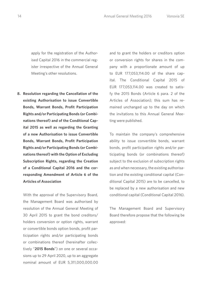apply for the registration of the Authorised Capital 2016 in the commercial register irrespective of the Annual General Meeting's other resolutions.

**8. Resolution regarding the Cancellation of the existing Authorisation to issue Convertible Bonds, Warrant Bonds, Profit Participation Rights and/or Participating Bonds (or Combinations thereof) and of the Conditional Capital 2015 as well as regarding the Granting of a new Authorisation to issue Convertible Bonds, Warrant Bonds, Profit Participation Rights and/or Participating Bonds (or Combinations thereof) with the Option of Excluding Subscription Rights, regarding the Creation of a Conditional Capital 2016 and the corresponding Amendment of Article 6 of the Articles of Association**

 With the approval of the Supervisory Board, the Management Board was authorised by resolution of the Annual General Meeting of 30 April 2015 to grant the bond creditors/ holders conversion or option rights, warrant or convertible bonds option bonds, profit participation rights and/or participating bonds or combinations thereof (hereinafter collectively "**2015 Bonds**") on one or several occasions up to 29 April 2020, up to an aggregate nominal amount of EUR 5,311,000,000.00

and to grant the holders or creditors option or conversion rights for shares in the company with a proportionate amount of up to EUR 177,053,114.00 of the share capital. The Conditional Capital 2015 of EUR 177,053,114.00 was created to satisfy the 2015 Bonds (Article 6 para. 2 of the Articles of Association); this sum has remained unchanged up to the day on which the invitations to this Annual General Meeting were published.

 To maintain the company's comprehensive ability to issue convertible bonds, warrant bonds, profit participation rights and/or participating bonds (or combinations thereof) subject to the exclusion of subscription rights as and when necessary, the existing authorisation and the existing conditional capital (Conditional Capital 2015) are to be cancelled, to be replaced by a new authorisation and new conditional capital (Conditional Capital 2016).

 The Management Board and Supervisory Board therefore propose that the following be approved: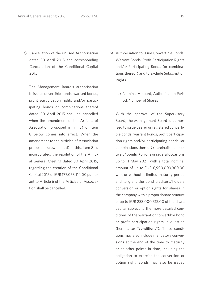2015

 a) Cancellation of the unused Authorisation dated 30 April 2015 and corresponding Cancellation of the Conditional Capital

 The Management Board's authorisation to issue convertible bonds, warrant bonds, profit participation rights and/or participating bonds or combinations thereof dated 30 April 2015 shall be cancelled when the amendment of the Articles of Association proposed in lit. d) of item 8 below comes into effect. When the amendment to the Articles of Association proposed below in lit. d) of this, item 8, is incorporated, the resolution of the Annual General Meeting dated 30 April 2015, regarding the creation of the Conditional Capital 2015 of EUR 177,053,114.00 pursuant to Article 6 of the Articles of Association shall be cancelled.

- b) Authorisation to issue Convertible Bonds, Warrant Bonds, Profit Participation Rights and/or Participating Bonds (or combinations thereof) and to exclude Subscription Rights
	- aa) Nominal Amount, Authorisation Period, Number of Shares

 With the approval of the Supervisory Board, the Management Board is authorised to issue bearer or registered convertible bonds, warrant bonds, profit participation rights and/or participating bonds (or combinations thereof) (hereinafter collectively "**bonds**") on one or several occasions up to 11 May 2021, with a total nominal amount of up to EUR 6,990,009,360.00 with or without a limited maturity period and to grant the bond creditors/holders conversion or option rights for shares in the company with a proportionate amount of up to EUR 233,000,312.00 of the share capital subject to the more detailed conditions of the warrant or convertible bond or profit participation rights in question (hereinafter "**conditions**"). These conditions may also include mandatory conversions at the end of the time to maturity or at other points in time, including the obligation to exercise the conversion or option right. Bonds may also be issued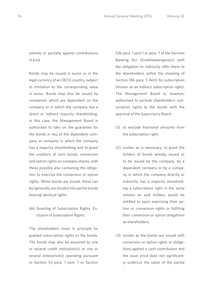entirely or partially against contributions in kind.

 Bonds may be issued in euros or in the legal currency of an OECD country, subject to limitation to the corresponding value in euros. Bonds may also be issued by companies which are dependent on the company or in which the company has a direct or indirect majority shareholding; in this case, the Management Board is authorised to take on the guarantee for the bonds in lieu of the dependent company or company in which the company has a majority shareholding and to grant the creditors of such bonds, conversion and option rights on company shares, with these possibly also containing the obligation to exercise the conversion or option rights. When bonds are issued, these can be/generally are divided into partial bonds bearing identical rights.

 bb) Granting of Subscription Rights, Exclusion of Subscription Rights

 The shareholders must in principle be granted subscription rights to the bonds. The bonds may also be assumed by one or several credit institution(s) or one or several enterprise(s) operating pursuant to Section 53 para. 1 sent. 1 or Section

53b para. 1 sent 1 or para. 7 of the German Banking Act (Kreditwesengesetz) with the obligation to indirectly offer them to the shareholders within the meaning of Section 186 para. 5 AktG for subscription (known as an indirect subscription right). The Management Board is, however, authorised to exclude shareholders' subscription rights to the bonds with the approval of the Supervisory Board:

- (1) to exclude fractional amounts from the subscription right;
- (2) insofar as is necessary, to grant the holders of bonds already issued or to be issued by the company, by a dependent company or by a company in which the company directly or indirectly has a majority shareholding a subscription right in the same volume as said holders would be entitled to upon exercising their option or conversion rights or fulfilling their conversion or option obligations as shareholders;
- (3) insofar as the bonds are issued with conversion or option rights or obligations against a cash contribution and the issue price does not significantly undercut the value of the partial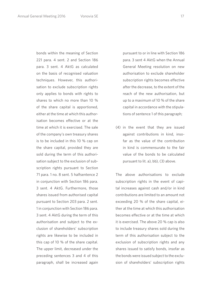bonds within the meaning of Section 221 para. 4 sent. 2 and Section 186 para. 3 sent. 4 AktG as calculated on the basis of recognised valuation techniques. However, this authorisation to exclude subscription rights only applies to bonds with rights to shares to which no more than 10 % of the share capital is apportioned, either at the time at which this authorisation becomes effective or at the time at which it is exercised. The sale of the company's own treasury shares is to be included in this 10 % cap on the share capital, provided they are sold during the term of this authorisation subject to the exclusion of subscription rights pursuant to Section 71 para. 1 no. 8 sent. 5 halfsentence 2 in conjunction with Section 186 para. 3 sent. 4 AktG. Furthermore, those shares issued from authorised capital pursuant to Section 203 para. 2 sent. 1 in conjunction with Section 186 para. 3 sent. 4 AktG during the term of this authorisation and subject to the exclusion of shareholders' subscription rights are likewise to be included in this cap of 10 % of the share capital. The upper limit, decreased under the preceding sentences 3 and 4 of this paragraph, shall be increased again

pursuant to or in line with Section 186 para. 3 sent 4 AktG when the Annual General Meeting resolution on new authorisation to exclude shareholder subscription rights becomes effective after the decrease, to the extent of the reach of the new authorisation, but up to a maximum of 10 % of the share capital in accordance with the stipulations of sentence 1 of this paragraph;

 (4) in the event that they are issued against contributions in kind, insofar as the value of the contribution in kind is commensurate to the fair value of the bonds to be calculated pursuant to lit. a), bb), (3) above.

 The above authorisations to exclude subscription rights in the event of capital increases against cash and/or in kind contributions are limited to an amount not exceeding 20 % of the share capital, either at the time at which this authorisation becomes effective or at the time at which it is exercised. The above 20 % cap is also to include treasury shares sold during the term of this authorisation subject to the exclusion of subscription rights and any shares issued to satisfy bonds, insofar as the bonds were issued subject to the exclusion of shareholders' subscription rights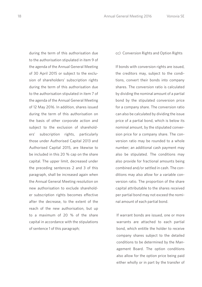during the term of this authorisation due to the authorisation stipulated in item 9 of the agenda of the Annual General Meeting of 30 April 2015 or subject to the exclusion of shareholders' subscription rights during the term of this authorisation due to the authorisation stipulated in item 7 of the agenda of the Annual General Meeting of 12 May 2016. In addition, shares issued during the term of this authorisation on the basis of other corporate action and subject to the exclusion of shareholders' subscription rights, particularly those under Authorised Capital 2013 and Authorised Capital 2015, are likewise to be included in this 20 % cap on the share capital. The upper limit, decreased under the preceding sentences 2 and 3 of this paragraph, shall be increased again when the Annual General Meeting resolution on new authorisation to exclude shareholder subscription rights becomes effective after the decrease, to the extent of the reach of the new authorisation, but up to a maximum of 20 % of the share capital in accordance with the stipulations of sentence 1 of this paragraph;

## cc) Conversion Rights and Option Rights

 If bonds with conversion rights are issued, the creditors may, subject to the conditions, convert their bonds into company shares. The conversion ratio is calculated by dividing the nominal amount of a partial bond by the stipulated conversion price for a company share. The conversion ratio can also be calculated by dividing the issue price of a partial bond, which is below its nominal amount, by the stipulated conversion price for a company share. The conversion ratio may be rounded to a whole number; an additional cash payment may also be stipulated. The conditions may also provide for fractional amounts being combined and/or settled in cash. The conditions may also allow for a variable conversion ratio. The proportion of the share capital attributable to the shares received per partial bond may not exceed the nominal amount of each partial bond.

 If warrant bonds are issued, one or more warrants are attached to each partial bond, which entitle the holder to receive company shares subject to the detailed conditions to be determined by the Management Board. The option conditions also allow for the option price being paid either wholly or in part by the transfer of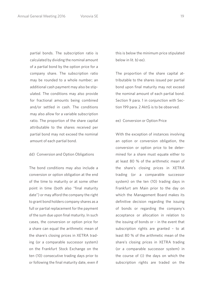partial bonds. The subscription ratio is calculated by dividing the nominal amount of a partial bond by the option price for a company share. The subscription ratio may be rounded to a whole number; an additional cash payment may also be stipulated. The conditions may also provide for fractional amounts being combined and/or settled in cash. The conditions may also allow for a variable subscription ratio. The proportion of the share capital attributable to the shares received per partial bond may not exceed the nominal amount of each partial bond.

## dd) Conversion and Option Obligations

 The bond conditions may also include a conversion or option obligation at the end of the time to maturity or at some other point in time (both also "final maturity date") or may afford the company the right to grant bond holders company shares as a full or partial replacement for the payment of the sum due upon final maturity. In such cases, the conversion or option price for a share can equal the arithmetic mean of the share's closing prices in XETRA trading (or a comparable successor system) on the Frankfurt Stock Exchange on the ten (10) consecutive trading days prior to or following the final maturity date, even if this is below the minimum price stipulated below in lit. b) ee).

 The proportion of the share capital attributable to the shares issued per partial bond upon final maturity may not exceed the nominal amount of each partial bond. Section 9 para. 1 in conjunction with Section 199 para. 2 AktG is to be observed.

## ee) Conversion or Option Price

 With the exception of instances involving an option or conversion obligation, the conversion or option price to be determined for a share must equate either to at least 80 % of the arithmetic mean of the share's closing prices in XETRA trading (or a comparable successor system) on the ten (10) trading days in Frankfurt am Main prior to the day on which the Management Board makes its definitive decision regarding the issuing of bonds or regarding the company's acceptance or allocation in relation to the issuing of bonds or – in the event that subscription rights are granted – to at least 80 % of the arithmetic mean of the share's closing prices in XETRA trading (or a comparable successor system) in the course of (i) the days on which the subscription rights are traded on the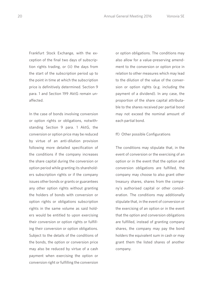Frankfurt Stock Exchange, with the exception of the final two days of subscription rights trading, or (ii) the days from the start of the subscription period up to the point in time at which the subscription price is definitively determined. Section 9 para. 1 and Section 199 AktG remain unaffected.

 In the case of bonds involving conversion or option rights or obligations, notwithstanding Section 9 para. 1 AktG, the conversion or option price may be reduced by virtue of an anti-dilution provision following more detailed specification of the conditions if the company increases the share capital during the conversion or option period while granting its shareholders subscription rights or if the company issues other bonds or grants or guarantees any other option rights without granting the holders of bonds with conversion or option rights or obligations subscription rights in the same volume as said holders would be entitled to upon exercising their conversion or option rights or fulfilling their conversion or option obligations. Subject to the details of the conditions of the bonds, the option or conversion price may also be reduced by virtue of a cash payment when exercising the option or conversion right or fulfilling the conversion

or option obligations. The conditions may also allow for a value-preserving amendment to the conversion or option price in relation to other measures which may lead to the dilution of the value of the conversion or option rights (e.g. including the payment of a dividend). In any case, the proportion of the share capital attributable to the shares received per partial bond may not exceed the nominal amount of each partial bond.

#### ff) Other possible Configurations

 The conditions may stipulate that, in the event of conversion or the exercising of an option or in the event that the option and conversion obligations are fulfilled, the company may choose to also grant other treasury shares, shares from the company's authorised capital or other consideration. The conditions may additionally stipulate that, in the event of conversion or the exercising of an option or in the event that the option and conversion obligations are fulfilled, instead of granting company shares, the company may pay the bond holders the equivalent sum in cash or may grant them the listed shares of another company.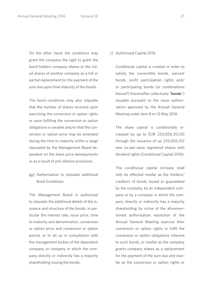On the other hand, the conditions may grant the company the right to grant the bond holders company shares or the listed shares of another company as a full or partial replacement for the payment of the sum due upon final maturity of the bonds.

 The bond conditions may also stipulate that the number of shares received upon exercising the conversion or option rights or upon fulfilling the conversion or option obligations is variable and/or that the conversion or option price may be amended during the time to maturity within a range stipulated by the Management Board dependent on the share price developments or as a result of anti-dilution provisions.

 gg) Authorisation to stipulate additional Bond Conditions

 The Management Board is authorised to stipulate the additional details of the issuance and structure of the bonds, in particular the interest rate, issue price, time to maturity and denomination, conversion or option price and conversion or option period, or to do so in consultation with the management bodies of the dependent company or company in which the company directly or indirectly has a majority shareholding issuing the bonds.

## c) Authorised Capital 2016

 Conditional capital is created in order to satisfy the convertible bonds, warrant bonds, profit participation rights and/ or participating bonds (or combinations thereof) (hereinafter collectively "**bonds**") issuable pursuant to the issue authorisation approved by the Annual General Meeting under item 8 on 12 May 2016.

 The share capital is conditionally increased by up to EUR 233,000,312.00 through the issuance of up 233,000,312 new no-par-value registered shares with dividend rights (Conditional Capital 2016).

 The conditional capital increase shall only be effected insofar as the holders/ creditors of bonds issued or guaranteed by the company, by an independent company or by a company in which the company directly or indirectly has a majority shareholding by virtue of the aforementioned authorisation resolution of the Annual General Meeting exercise their conversion or option rights or fulfil the conversion or option obligations inherent to such bonds, or insofar as the company grants company shares as a replacement for the payment of the sum due and insofar as the conversion or option rights or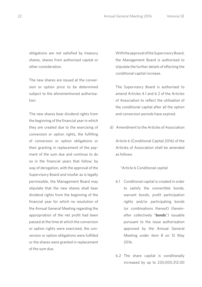obligations are not satisfied by treasury shares, shares from authorised capital or other consideration.

 The new shares are issued at the conversion or option price to be determined subject to the aforementioned authorisation.

 The new shares bear dividend rights from the beginning of the financial year in which they are created due to the exercising of conversion or option rights, the fulfilling of conversion or option obligations or their granting in replacement of the payment of the sum due and continue to do so in the financial years that follow; by way of derogation, with the approval of the Supervisory Board and insofar as is legally permissible, the Management Board may stipulate that the new shares shall bear dividend rights from the beginning of the financial year for which no resolution of the Annual General Meeting regarding the appropriation of the net profit had been passed at the time at which the conversion or option rights were exercised, the conversion or option obligations were fulfilled or the shares were granted in replacement of the sum due.

 With the approval of the Supervisory Board, the Management Board is authorised to stipulate the further details of effecting the conditional capital increase.

 The Supervisory Board is authorised to amend Articles 4.1 and 6.2 of the Articles of Association to reflect the utilisation of the conditional capital after all the option and conversion periods have expired.

d) Amendment to the Articles of Association

 Article 6 (Conditional Capital 2016) of the Articles of Association shall be amended as follows:

"Article 6 Conditional capital

- 6.1 Conditional capital is created in order to satisfy the convertible bonds, warrant bonds, profit participation rights and/or participating bonds (or combinations thereof) (hereinafter collectively "**bonds**") issuable pursuant to the issue authorisation approved by the Annual General Meeting under item 8 on 12 May 2016.
- 6.2 The share capital is conditionally increased by up to 233,000,312.00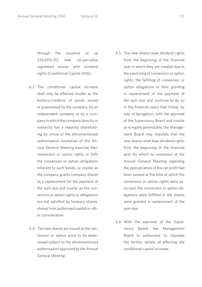through the issuance of up 233,000,312 new no-par-value registered shares with dividend rights (Conditional Capital 2016).

- 6.3 The conditional capital increase shall only be effected insofar as the holders/creditors of bonds issued or guaranteed by the company, by an independent company or by a company in which the company directly or indirectly has a majority shareholding by virtue of the aforementioned authorisation resolution of the Annual General Meeting exercise their conversion or option rights or fulfil the conversion or option obligations inherent to such bonds, or insofar as the company grants company shares as a replacement for the payment of the sum due and insofar as the conversion or option rights or obligations are not satisfied by treasury shares, shares from authorised capital or other consideration.
- 6.4 The new shares are issued at the conversion or option price to be determined subject to the aforementioned authorisation approved by the Annual General Meeting.
- 6.5 The new shares bear dividend rights from the beginning of the financial year in which they are created due to the exercising of conversion or option rights, the fulfilling of conversion or option obligations or their granting in replacement of the payment of the sum due and continue to do so in the financial years that follow; by way of derogation, with the approval of the Supervisory Board and insofar as is legally permissible, the Management Board may stipulate that the new shares shall bear dividend rights from the beginning of the financial year for which no resolution of the Annual General Meeting regarding the appropriation of the net profit had been passed at the time at which the conversion or option rights were exercised, the conversion or option obligations were fulfilled or the shares were granted in replacement of the sum due.
- 6.6 With the approval of the Supervisory Board, the Management Board is authorised to stipulate the further details of effecting the conditional capital increase.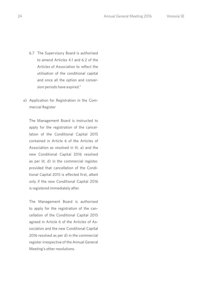- 6.7 The Supervisory Board is authorised to amend Articles 4.1 and 6.2 of the Articles of Association to reflect the utilisation of the conditional capital and once all the option and conversion periods have expired."
- e) Application for Registration in the Commercial Register

 The Management Board is instructed to apply for the registration of the cancellation of the Conditional Capital 2015 contained in Article 6 of the Articles of Association as resolved in lit. a) and the new Conditional Capital 2016 resolved as per lit. d) in the commercial register, provided that cancellation of the Conditional Capital 2015 is effected first, albeit only if the new Conditional Capital 2016 is registered immediately after.

 The Management Board is authorised to apply for the registration of the cancellation of the Conditional Capital 2015 agreed in Article 6 of the Articles of Association and the new Conditional Capital 2016 resolved as per d) in the commercial register irrespective of the Annual General Meeting's other resolutions.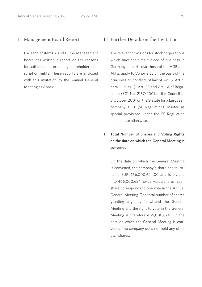For each of items 7 and 8, the Management Board has written a report on the reasons for authorisation excluding shareholder subscription rights. These reports are enclosed with this invitation to the Annual General Meeting as Annex.

## II. Management Board Report III. Further Details on the Invitation

 The relevant provisions for stock corporations which have their main place of business in Germany, in particular those of the HGB and AktG, apply to Vonovia SE on the basis of the principles on conflicts of law of Art. 5, Art. 9 para. 1 lit. c) ii), Art. 53 and Art. 61 of Regulation (EC) No. 2157/2001 of the Council of 8 October 2001 on the Statute for a European company (SE) (SE Regulation), insofar as special provisions under the SE Regulation do not state otherwise.

## **1. Total Number of Shares and Voting Rights on the date on which the General Meeting is convened**

 On the date on which the General Meeting is convened, the company's share capital totalled EUR 466,000,624.00 and is divided into 466,000,624 no-par-value shares. Each share corresponds to one vote in the Annual General Meeting. The total number of shares granting eligibility to attend the General Meeting and the right to vote in the General Meeting is therefore 466,000,624. On the date on which the General Meeting is convened, the company does not hold any of its own shares.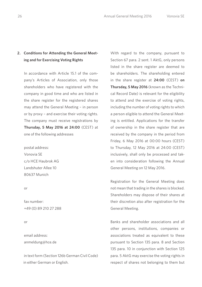## **2. Conditions for Attending the General Meeting and for Exercising Voting Rights**

 In accordance with Article 15.1 of the company's Articles of Association, only those shareholders who have registered with the company in good time and who are listed in the share register for the registered shares may attend the General Meeting – in person or by proxy – and exercise their voting rights. The company must receive registrations by **Thursday, 5 May 2016 at 24:00** (CEST) at one of the following addresses

 postal address: Vonovia SE c/o HCE Haubrok AG Landshuter Allee 10 80637 Munich

#### or

 fax number: +49 (0) 89 210 27 288

#### or

 email address: anmeldung@hce.de

 in text form (Section 126b German Civil Code) in either German or English.

 With regard to the company, pursuant to Section 67 para. 2 sent. 1 AktG, only persons listed in the share register are deemed to be shareholders. The shareholding entered in the share register at **24:00** (CEST) **on Thursday, 5 May 2016** (known as the Technical Record Date) is relevant for the eligibility to attend and the exercise of voting rights, including the number of voting rights to which a person eligible to attend the General Meeting is entitled. Applications for the transfer of ownership in the share register that are received by the company in the period from Friday, 6 May 2016 at 00:00 hours (CEST) to Thursday, 12 May 2016 at 24:00 (CEST) inclusively, shall only be processed and taken into consideration following the Annual General Meeting on 12 May 2016.

 Registration for the General Meeting does not mean that trading in the shares is blocked. Shareholders may dispose of their shares at their discretion also after registration for the General Meeting.

 Banks and shareholder associations and all other persons, institutions, companies or associations treated as equivalent to these pursuant to Section 135 para. 8 and Section 135 para. 10 in conjunction with Section 125 para. 5 AktG may exercise the voting rights in respect of shares not belonging to them but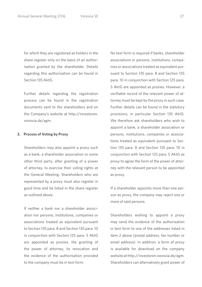for which they are registered as holders in the share register only on the basis of an authorisation granted by the shareholder. Details regarding this authorisation can be found in Section 135 AktG.

 Further details regarding the registration process can be found in the registration documents sent to the shareholders and on the Company's website at http://investoren. vonovia.de/agm.

## **3. Process of Voting by Proxy**

 Shareholders may also appoint a proxy such as a bank, a shareholder association or some other third party, after granting of a power of attorney, to exercise their voting rights at the General Meeting. Shareholders who are represented by a proxy must also register in good time and be listed in the share register as outlined above.

 If neither a bank nor a shareholder association nor persons, institutions, companies or associations treated as equivalent pursuant to Section 135 para. 8 and Section 135 para. 10 in conjunction with Section 125 para. 5 AktG are appointed as proxies, the granting of the power of attorney, its revocation and the evidence of the authorisation provided to the company must be in text form.

 No text form is required if banks, shareholder associations or persons, institutions, companies or associations treated as equivalent pursuant to Section 135 para. 8 and Section 135 para. 10 in conjunction with Section 125 para. 5 AktG are appointed as proxies. However, a verifiable record of the relevant power of attorney must be kept by the proxy in such case. Further details can be found in the statutory provisions, in particular Section 135 AktG. We therefore ask shareholders who wish to appoint a bank, a shareholder association or persons, institutions, companies or associations treated as equivalent pursuant to Section 135 para. 8 and Section 135 para. 10 in conjunction with Section 125 para. 5 AktG as proxy to agree the form of the power of attorney with the relevant person to be appointed as proxy.

 If a shareholder appoints more than one person as proxy, the company may reject one or more of said persons.

 Shareholders wishing to appoint a proxy may send the evidence of the authorisation in text form to one of the addresses listed in item 2 above (postal address, fax number or email address). In addition, a form of proxy is available for download on the company website at http://investoren.vonovia.de/agm. Shareholders can alternatively grant power of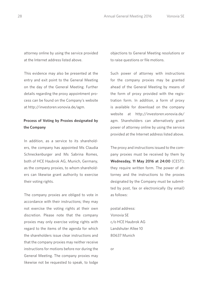attorney online by using the service provided at the Internet address listed above.

 This evidence may also be presented at the entry and exit point to the General Meeting on the day of the General Meeting. Further details regarding the proxy appointment process can be found on the Company's website at http://investoren.vonovia.de/agm.

## **Process of Voting by Proxies designated by the Company**

 In addition, as a service to its shareholders, the company has appointed Ms Claudia Schneckenburger and Ms Sabrina Romes, both of HCE Haubrok AG, Munich, Germany, as the company proxies, to whom shareholders can likewise grant authority to exercise their voting rights.

 The company proxies are obliged to vote in accordance with their instructions; they may not exercise the voting rights at their own discretion. Please note that the company proxies may only exercise voting rights with regard to the items of the agenda for which the shareholders issue clear instructions and that the company proxies may neither receive instructions for motions before nor during the General Meeting. The company proxies may likewise not be requested to speak, to lodge

objections to General Meeting resolutions or to raise questions or file motions.

 Such power of attorney with instructions for the company proxies may be granted ahead of the General Meeting by means of the form of proxy provided with the registration form. In addition, a form of proxy is available for download on the company website at http://investoren.vonovia.de/ agm. Shareholders can alternatively grant power of attorney online by using the service provided at the Internet address listed above.

 The proxy and instructions issued to the company proxies must be received by them by **Wednesday, 11 May 2016 at 24:00** (CEST); they require written form. The power of attorney and the instructions to the proxies designated by the Company must be submitted by post, fax or electronically (by email) as follows:

 postal address: Vonovia SE c/o HCE Haubrok AG Landshuter Allee 10 80637 Munich

or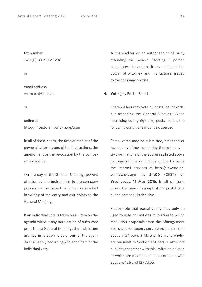fax number: +49 (0) 89 210 27 288

or

 email address: vollmacht@hce.de

or

 online at http://investoren.vonovia.de/agm

 In all of these cases, the time of receipt of the power of attorney and of the instructions, the amendment or the revocation by the company is decisive.

 On the day of the General Meeting, powers of attorney and instructions to the company proxies can be issued, amended or revoked in writing at the entry and exit points to the General Meeting.

 If an individual vote is taken on an item on the agenda without any notification of such vote prior to the General Meeting, the instruction granted in relation to said item of the agenda shall apply accordingly to each item of the individual vote.

 A shareholder or an authorised third party attending the General Meeting in person constitutes the automatic revocation of the power of attorney and instructions issued to the company proxies.

## **4. Voting by Postal Ballot**

 Shareholders may vote by postal ballot without attending the General Meeting. When exercising voting rights by postal ballot, the following conditions must be observed:

 Postal votes may be submitted, amended or revoked by either contacting the company in text form at one of the addresses listed above for registrations or directly online by using the Internet services at http://investoren. vonovia.de/agm by **24:00** (CEST) **on Wednesday, 11 May 2016**. In all of these cases, the time of receipt of the postal vote by the company is decisive.

 Please note that postal voting may only be used to vote on motions in relation to which resolution proposals from the Management Board and/or Supervisory Board pursuant to Section 124 para. 3 AktG or from shareholders pursuant to Section 124 para. 1 AktG are published together with this Invitation or later, or which are made public in accordance with Sections 126 and 127 AktG.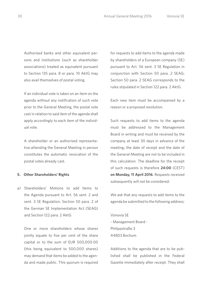Authorised banks and other equivalent per-

sons and institutions (such as shareholder associations) treated as equivalent pursuant to Section 135 para. 8 or para. 10 AktG may also avail themselves of postal voting.

 If an individual vote is taken on an item on the agenda without any notification of such vote prior to the General Meeting, the postal vote cast in relation to said item of the agenda shall apply accordingly to each item of the individual vote.

 A shareholder or an authorised representative attending the General Meeting in person constitutes the automatic revocation of the postal votes already cast.

### **5. Other Shareholders' Rights**

a) Shareholders' Motions to add Items to the Agenda pursuant to Art. 56 sent. 2 and sent. 3 SE Regulation, Section 50 para. 2 of the German SE Implementation Act (SEAG) and Section 122 para. 2 AktG

 One or more shareholders whose shares jointly equate to five per cent of the share capital or to the sum of EUR 500,000.00 (this being equivalent to 500,000 shares) may demand that items be added to the agenda and made public. This quorum is required

for requests to add items to the agenda made by shareholders of a European company (SE) pursuant to Art. 56 sent. 3 SE Regulation in conjunction with Section 50 para. 2 SEAG; Section 50 para. 2 SEAG corresponds to the rules stipulated in Section 122 para. 2 AktG.

 Each new item must be accompanied by a reason or a proposed resolution.

 Such requests to add items to the agenda must be addressed to the Management Board in writing and must be received by the company at least 30 days in advance of the meeting; the date of receipt and the date of the General Meeting are not to be included in this calculation. The deadline for the receipt of such requests is therefore **24:00** (CEST) **on Monday, 11 April 2016**. Requests received subsequently will not be considered.

 We ask that any requests to add items to the agenda be submitted to the following address:

 Vonovia SE - Management Board - Philippstraße 3 44803 Bochum

 Additions to the agenda that are to be published shall be published in the Federal Gazette immediately after receipt. They shall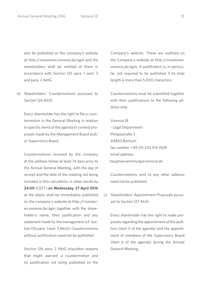also be published on the company's website at http://investoren.vonovia.de/agm and the shareholders shall be notified of them in accordance with Section 125 para. 1 sent. 3 and para. 2 AktG.

b) Shareholders' Countermotions pursuant to Section 126 AktG

 Every shareholder has the right to file a countermotion in the General Meeting in relation to specific items of the agenda to contest proposals made by the Management Board and/ or Supervisory Board.

 Countermotions received by the company at the address below at least 14 days prior to the Annual General Meeting, with the day of receipt and the date of the meeting not being included in this calculation, in other words by **24:00** (CEST) **on Wednesday, 27 April 2016**  at the latest, shall be immediately published on the company's website at http://investoren.vonovia.de/agm together with the shareholder's name, their justification and any statement made by the management (cf. Section 126 para. 1 sent. 3 AktG). Countermotions without justification need not be published.

 Section 126 para. 2 AktG stipulates reasons that might warrant a countermotion and its justification not being published on the Company's website. These are outlined on the Company's website at http://investoren. vonovia.de/agm. A justification is, in particular, not required to be published if its total length is more than 5,000 characters.

 Countermotions must be submitted together with their justifications to the following address only:

 Vonovia SE - Legal Department - Philippstraße 3 44803 Bochum fax number: +49 (0) 234 314 1508 email address: hauptversammlung@vonovia.de

 Countermotions sent to any other address need not be published.

c) Shareholders' Appointment Proposals pursuant to Section 127 AktG

 Every shareholder has the right to make proposals regarding the appointment of the auditors (item 5 of the agenda) and the appointment of members of the Supervisory Board (item 6 of the agenda) during the Annual General Meeting.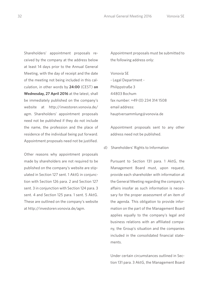Shareholders' appointment proposals received by the company at the address below at least 14 days prior to the Annual General Meeting, with the day of receipt and the date of the meeting not being included in this calculation, in other words by **24:00** (CEST) **on Wednesday, 27 April 2016** at the latest, shall be immediately published on the company's website at http://investoren.vonovia.de/ agm. Shareholders' appointment proposals need not be published if they do not include the name, the profession and the place of residence of the individual being put forward. Appointment proposals need not be justified.

 Other reasons why appointment proposals made by shareholders are not required to be published on the company's website are stipulated in Section 127 sent. 1 AktG in conjunction with Section 126 para. 2 and Section 127 sent. 3 in conjunction with Section 124 para. 3 sent. 4 and Section 125 para. 1 sent. 5 AktG. These are outlined on the company's website at http://investoren.vonovia.de/agm.

 Appointment proposals must be submitted to the following address only:

 Vonovia SE - Legal Department - Philippstraße 3 44803 Bochum fax number: +49 (0) 234 314 1508 email address: hauptversammlung@vonovia.de

 Appointment proposals sent to any other address need not be published.

d) Shareholders' Rights to Information

 Pursuant to Section 131 para. 1 AktG, the Management Board must, upon request, provide each shareholder with information at the General Meeting regarding the company's affairs insofar as such information is necessary for the proper assessment of an item of the agenda. This obligation to provide information on the part of the Management Board applies equally to the company's legal and business relations with an affiliated company, the Group's situation and the companies included in the consolidated financial statements.

 Under certain circumstances outlined in Section 131 para. 3 AktG, the Management Board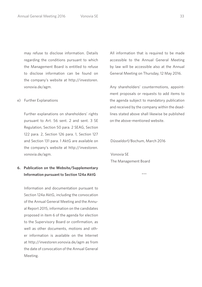may refuse to disclose information. Details regarding the conditions pursuant to which the Management Board is entitled to refuse to disclose information can be found on the company's website at http://investoren. vonovia.de/agm.

e) Further Explanations

 Further explanations on shareholders' rights pursuant to Art. 56 sent. 2 and sent. 3 SE Regulation, Section 50 para. 2 SEAG, Section 122 para. 2, Section 126 para. 1, Section 127 and Section 131 para. 1 AktG are available on the company's website at http://investoren. vonovia.de/agm.

## **6. Publication on the Website/Supplementary Information pursuant to Section 124a AktG**

 Information and documentation pursuant to Section 124a AktG, including the convocation of the Annual General Meeting and the Annual Report 2015, information on the candidates proposed in item 6 of the agenda for election to the Supervisory Board or confirmation, as well as other documents, motions and other information is available on the Internet at http://investoren.vonovia.de/agm as from the date of convocation of the Annual General Meeting.

 All information that is required to be made accessible to the Annual General Meeting by law will be accessible also at the Annual General Meeting on Thursday, 12 May 2016.

 Any shareholders' countermotions, appointment proposals or requests to add items to the agenda subject to mandatory publication and received by the company within the deadlines stated above shall likewise be published on the above-mentioned website.

Düsseldorf/Bochum, March 2016

 Vonovia SE The Management Board

\*\*\*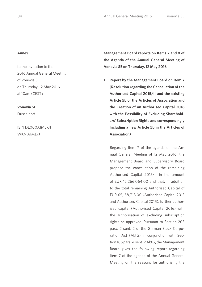#### **Annex**

to the Invitation to the 2016 Annual General Meeting of Vonovia SE on Thursday, 12 May 2016 at 10am (CEST)

### **Vonovia SE**

Düsseldorf

ISIN DE000A1ML7J1 WKN A1ML7L

**Management Board reports on Items 7 and 8 of the Agenda of the Annual General Meeting of Vonovia SE on Thursday, 12 May 2016**

**1. Report by the Management Board on Item 7 (Resolution regarding the Cancellation of the Authorised Capital 2015/II and the existing Article 5b of the Articles of Association and the Creation of an Authorised Capital 2016 with the Possibility of Excluding Shareholders' Subscription Rights and correspondingly Including a new Article 5b in the Articles of Association)**

 Regarding item 7 of the agenda of the Annual General Meeting of 12 May 2016, the Management Board and Supervisory Board propose the cancellation of the remaining Authorised Capital 2015/II in the amount of EUR 12,266,064.00 and that, in addition to the total remaining Authorised Capital of EUR 65,158,718.00 (Authorised Capital 2013 and Authorised Capital 2015), further authorised capital (Authorised Capital 2016) with the authorisation of excluding subscription rights be approved. Pursuant to Section 203 para. 2 sent. 2 of the German Stock Corporation Act (AktG) in conjunction with Section 186 para. 4 sent. 2 AktG, the Management Board gives the following report regarding item 7 of the agenda of the Annual General Meeting on the reasons for authorising the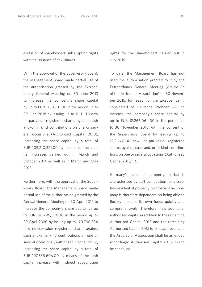exclusion of shareholders' subscription rights with the issuance of new shares

 With the approval of the Supervisory Board, the Management Board made partial use of the authorisation granted by the Extraordinary General Meeting on 30 June 2013 to increase the company's share capital by up to EUR 111,111,111.00 in the period up to 29 June 2018 by issuing up to 111,111,111 new no-par-value registered shares against cash and/or in kind contributions on one or several occasions (Authorised Capital 2013), increasing the share capital by a total of EUR 109,210,321.00 by means of the capital increases carried out in March and October 2014 as well as in March and May 2015.

 Furthermore, with the approval of the Supervisory Board, the Management Board made partial use of the authorisation granted by the Annual General Meeting on 30 April 2015 to increase the company's share capital by up to EUR 170,796,534.00 in the period up to 29 April 2020 by issuing up to 170,796,534 new no-par-value registered shares against cash and/or in kind contributions on one or several occasions (Authorised Capital 2015), increasing the share capital by a total of EUR 107,538,606.00 by means of the cash capital increase with indirect subscription

rights for the shareholders carried out in July 2015.

 To date, the Management Board has not used the authorisation granted to it by the Extraordinary General Meeting (Article 5b of the Articles of Association) on 30 November 2015, for reason of the takeover being considered of Deutsche Wohnen AG, to increase the company's share capital by up to EUR 12,266,064.00 in the period up to 30 November 2016 with the consent of the Supervisory Board by issuing up to 12,266,064 new no-par-value registered shares against cash and/or in kind contributions on one or several occasions (Authorised Capital 2015/II).

 Germany's residential property market is characterised by stiff competition for attractive residential property portfolios. The company is therefore dependent on being able to flexibly increase its own funds quickly and comprehensively. Therefore, new additional authorised capital in addition to the remaining Authorised Capital 2013 and the remaining Authorised Capital 2015 is to be approved and the Articles of Association shall be amended accordingly. Authorised Capital 2015/II is to be cancelled.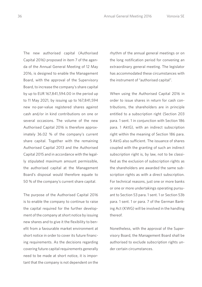The new authorised capital (Authorised Capital 2016) proposed in item 7 of the agenda of the Annual General Meeting of 12 May 2016, is designed to enable the Management Board, with the approval of the Supervisory Board, to increase the company's share capital by up to EUR 167,841,594.00 in the period up to 11 May 2021, by issuing up to 167,841,594 new no-par-value registered shares against cash and/or in kind contributions on one or several occasions. The volume of the new Authorised Capital 2016 is therefore approximately 36.02 % of the company's current share capital. Together with the remaining Authorised Capital 2013 and the Authorised Capital 2015 and in accordance with the legally stipulated maximum amount permissible, the authorised capital at the Management Board's disposal would therefore equate to 50 % of the company's current share capital.

 The purpose of the Authorised Capital 2016 is to enable the company to continue to raise the capital required for the further development of the company at short notice by issuing new shares and to give it the flexibility to benefit from a favourable market environment at short notice in order to cover its future financing requirements. As the decisions regarding covering future capital requirements generally need to be made at short notice, it is important that the company is not dependent on the

rhythm of the annual general meetings or on the long notification period for convening an extraordinary general meeting. The legislator has accommodated these circumstances with the instrument of "authorised capital".

 When using the Authorised Capital 2016 in order to issue shares in return for cash contributions, the shareholders are in principle entitled to a subscription right (Section 203 para. 1 sent. 1 in conjunction with Section 186 para. 1 AktG), with an indirect subscription right within the meaning of Section 186 para. 5 AktG also sufficient. The issuance of shares coupled with the granting of such an indirect subscription right is, by law, not to be classified as the exclusion of subscription rights as the shareholders are awarded the same subscription rights as with a direct subscription. For technical reasons, just one or more banks or one or more undertakings operating pursuant to Section 53 para. 1 sent. 1 or Section 53b para. 1 sent. 1 or para. 7 of the German Banking Act (KWG) will be involved in the handling thereof.

 Nonetheless, with the approval of the Supervisory Board, the Management Board shall be authorised to exclude subscription rights under certain circumstances.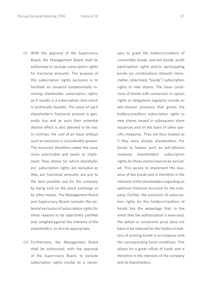- (i) With the approval of the Supervisory Board, the Management Board shall be authorised to exclude subscription rights for fractional amounts. The purpose of this subscription rights exclusion is to facilitate an issuance fundamentally involving shareholder subscription rights, as it results in a subscription ratio which is technically feasible. The value of each shareholder's fractional amount is generally low and as such their potential dilutive effect is also deemed to be low. In contrast, the cost of an issue without such an exclusion is considerably greater. The exclusion therefore makes the issue more practicable and easier to implement. New shares for which shareholders' subscription rights are excluded as they are fractional amounts are put to the best possible use for the company by being sold on the stock exchange or by other means. The Management Board and Supervisory Board consider the potential exclusion of subscription rights for these reasons to be objectively justified and, weighed against the interests of the shareholders, to also be appropriate.
- (ii) Furthermore, the Management Board shall be authorised, with the approval of the Supervisory Board, to exclude subscription rights insofar as is neces-

sary to grant the holders/creditors of convertible bonds, warrant bonds, profit participation rights and/or participating bonds (or combinations thereof) (hereinafter collectively "bonds") subscription rights to new shares. The issue conditions of bonds with conversion or option rights or obligations regularly include an anti-dilution provision that grants the holders/creditors subscription rights to new shares issued in subsequent share issuances and on the basis of other specific measures. They are thus treated as if they were already shareholders. For bonds to feature such an anti-dilution measure, shareholders' subscription rights for these shares have to be excluded. This serves to implement the issuance of the bonds and is therefore in the interests of the shareholders regarding an optimum financial structure for the company. Further, the exclusion of subscription rights for the holders/creditors of bonds has the advantage that, in the event that the authorisation is exercised, the option or conversion price does not have to be reduced for the holders/creditors of existing bonds in accordance with the corresponding bond conditions. This allows for a great inflow of funds and is therefore in the interests of the company and its shareholders.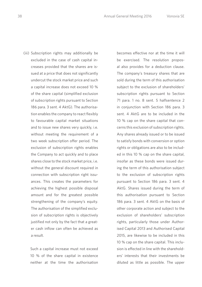(iii) Subscription rights may additionally be excluded in the case of cash capital increases provided that the shares are issued at a price that does not significantly undercut the stock market price and such a capital increase does not exceed 10 % of the share capital (simplified exclusion of subscription rights pursuant to Section 186 para. 3 sent. 4 AktG). The authorisation enables the company to react flexibly to favourable capital market situations and to issue new shares very quickly, i.e. without meeting the requirement of a two week subscription offer period. The exclusion of subscription rights enables the Company to act quickly and to place shares close to the stock market price, i.e. without the general discount required in connection with subscription right issuances. This creates the parameters for achieving the highest possible disposal amount and for the greatest possible strengthening of the company's equity. The authorisation of the simplified exclusion of subscription rights is objectively justified not only by the fact that a greater cash inflow can often be achieved as a result.

 Such a capital increase must not exceed 10 % of the share capital in existence neither at the time the authorisation

becomes effective nor at the time it will be exercised. The resolution proposal also provides for a deduction clause. The company's treasury shares that are sold during the term of this authorisation subject to the exclusion of shareholders' subscription rights pursuant to Section 71 para. 1 no. 8 sent. 5 halfsentence 2 in conjunction with Section 186 para. 3 sent. 4 AktG are to be included in the 10 % cap on the share capital that concerns this exclusion of subscription rights. Any shares already issued or to be issued to satisfy bonds with conversion or option rights or obligations are also to be included in this 10 % cap on the share capital, insofar as these bonds were issued during the term of this authorisation subject to the exclusion of subscription rights pursuant to Section 186 para. 3 sent. 4 AktG. Shares issued during the term of this authorisation pursuant to Section 186 para. 3 sent. 4 AktG on the basis of other corporate action and subject to the exclusion of shareholders' subscription rights, particularly those under Authorised Capital 2013 and Authorised Capital 2015, are likewise to be included in this 10 % cap on the share capital. This inclusion is effected in line with the shareholders' interests that their investments be diluted as little as possible. The upper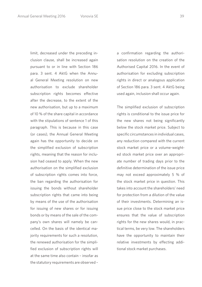limit, decreased under the preceding inclusion clause, shall be increased again pursuant to or in line with Section 186 para. 3 sent. 4 AktG when the Annual General Meeting resolution on new authorisation to exclude shareholder subscription rights becomes effective after the decrease, to the extent of the new authorisation, but up to a maximum of 10 % of the share capital in accordance with the stipulations of sentence 1 of this paragraph. This is because in this case (or cases), the Annual General Meeting again has the opportunity to decide on the simplified exclusion of subscription rights, meaning that the reason for inclusion had ceased to apply. When the new authorisation on the simplified exclusion of subscription rights comes into force, the ban regarding the authorisation for issuing the bonds without shareholder subscription rights that came into being by means of the use of the authorisation for issuing of new shares or for issuing bonds or by means of the sale of the company's own shares will namely be cancelled. On the basis of the identical majority requirements for such a resolution, the renewed authorisation for the simplified exclusion of subscription rights will at the same time also contain – insofar as the statutory requirements are observed –

a confirmation regarding the authorisation resolution on the creation of the Authorised Capital 2016. In the event of authorisation for excluding subscription rights in direct or analogous application of Section 186 para. 3 sent. 4 AktG being used again, inclusion shall occur again.

 The simplified exclusion of subscription rights is conditional to the issue price for the new shares not being significantly below the stock market price. Subject to specific circumstances in individual cases, any reduction compared with the current stock market price or a volume-weighted stock market price over an appropriate number of trading days prior to the definitive determination of the issue price may not exceed approximately 5 % of the stock market price in question. This takes into account the shareholders' need for protection from a dilution of the value of their investments. Determining an issue price close to the stock market price ensures that the value of subscription rights for the new shares would, in practical terms, be very low. The shareholders have the opportunity to maintain their relative investments by effecting additional stock market purchases.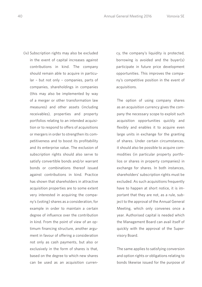(iv) Subscription rights may also be excluded in the event of capital increases against contributions in kind. The company should remain able to acquire in particular – but not only – companies, parts of companies, shareholdings in companies (this may also be implemented by way of a merger or other transformation law measures) and other assets (including receivables), properties and property portfolios relating to an intended acquisition or to respond to offers of acquisitions or mergers in order to strengthen its competitiveness and to boost its profitability and its enterprise value. The exclusion of subscription rights should also serve to satisfy convertible bonds and/or warrant bonds or combinations thereof issued against contributions in kind. Practice has shown that shareholders in attractive acquisition properties are to some extent very interested in acquiring the company's (voting) shares as a consideration, for example in order to maintain a certain degree of influence over the contribution in kind. From the point of view of an optimum financing structure, another argument in favour of offering a consideration not only as cash payments, but also or exclusively in the form of shares is that, based on the degree to which new shares can be used as an acquisition curren-

cy, the company's liquidity is protected, borrowing is avoided and the buyer(s) participate in future price development opportunities. This improves the company's competitive position in the event of acquisitions.

 The option of using company shares as an acquisition currency gives the company the necessary scope to exploit such acquisition opportunities quickly and flexibly and enables it to acquire even large units in exchange for the granting of shares. Under certain circumstances, it should also be possible to acquire commodities (in particular property portfolios or shares in property companies) in exchange for shares. In both instances, shareholders' subscription rights must be excluded. As such acquisitions frequently have to happen at short notice, it is important that they are not, as a rule, subject to the approval of the Annual General Meeting, which only convenes once a year. Authorised capital is needed which the Management Board can avail itself of quickly with the approval of the Supervisory Board.

 The same applies to satisfying conversion and option rights or obligations relating to bonds likewise issued for the purpose of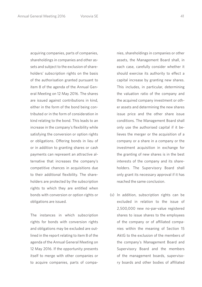acquiring companies, parts of companies, shareholdings in companies and other assets and subject to the exclusion of shareholders' subscription rights on the basis of the authorisation granted pursuant to item 8 of the agenda of the Annual General Meeting on 12 May 2016. The shares are issued against contributions in kind, either in the form of the bond being contributed or in the form of consideration in kind relating to the bond. This leads to an increase in the company's flexibility while satisfying the conversion or option rights or obligations. Offering bonds in lieu of or in addition to granting shares or cash payments can represent an attractive alternative that increases the company's competitive chances in acquisitions due to their additional flexibility. The shareholders are protected by the subscription rights to which they are entitled when bonds with conversion or option rights or obligations are issued.

 The instances in which subscription rights for bonds with conversion rights and obligations may be excluded are outlined in the report relating to item 8 of the agenda of the Annual General Meeting on 12 May 2016. If the opportunity presents itself to merge with other companies or to acquire companies, parts of companies, shareholdings in companies or other assets, the Management Board shall, in each case, carefully consider whether it should exercise its authority to effect a capital increase by granting new shares. This includes, in particular, determining the valuation ratio of the company and the acquired company investment or other assets and determining the new shares issue price and the other share issue conditions. The Management Board shall only use the authorised capital if it believes the merger or the acquisition of a company or a share in a company or the investment acquisition in exchange for the granting of new shares is in the best interests of the company and its shareholders. The Supervisory Board shall only grant its necessary approval if it has reached the same conclusion.

 (v) In addition, subscription rights can be excluded in relation to the issue of 2,500,000 new no-par-value registered shares to issue shares to the employees of the company or of affiliated companies within the meaning of Section 15 AktG to the exclusion of the members of the company's Management Board and Supervisory Board and the members of the management boards, supervisory boards and other bodies of affiliated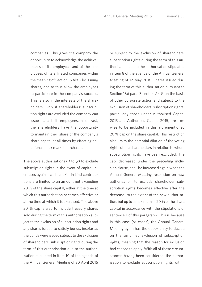companies. This gives the company the opportunity to acknowledge the achievements of its employees and of the employees of its affiliated companies within the meaning of Section 15 AktG by issuing shares, and to thus allow the employees to participate in the company's success. This is also in the interests of the shareholders. Only if shareholders' subscription rights are excluded the company can issue shares to its employees. In contrast, the shareholders have the opportunity to maintain their share of the company's share capital at all times by effecting additional stock market purchases.

 The above authorisations (i) to (v) to exclude subscription rights in the event of capital increases against cash and/or in kind contributions are limited to an amount not exceeding 20 % of the share capital, either at the time at which this authorisation becomes effective or at the time at which it is exercised. The above 20 % cap is also to include treasury shares sold during the term of this authorisation subject to the exclusion of subscription rights and any shares issued to satisfy bonds, insofar as the bonds were issued subject to the exclusion of shareholders' subscription rights during the term of this authorisation due to the authorisation stipulated in item 10 of the agenda of the Annual General Meeting of 30 April 2015 or subject to the exclusion of shareholders' subscription rights during the term of this authorisation due to the authorisation stipulated in item 8 of the agenda of the Annual General Meeting of 12 May 2016. Shares issued during the term of this authorisation pursuant to Section 186 para. 3 sent. 4 AktG on the basis of other corporate action and subject to the exclusion of shareholders' subscription rights, particularly those under Authorised Capital 2013 and Authorised Capital 2015, are likewise to be included in this aforementioned 20 % cap on the share capital. This restriction also limits the potential dilution of the voting rights of the shareholders in relation to whom subscription rights have been excluded. The cap, decreased under the preceding inclusion clause, shall be increased again when the Annual General Meeting resolution on new authorisation to exclude shareholder subscription rights becomes effective after the decrease, to the extent of the new authorisation, but up to a maximum of 20 % of the share capital in accordance with the stipulations of sentence 1 of this paragraph. This is because in this case (or cases), the Annual General Meeting again has the opportunity to decide on the simplified exclusion of subscription rights, meaning that the reason for inclusion had ceased to apply. With all of these circumstances having been considered, the authorisation to exclude subscription rights within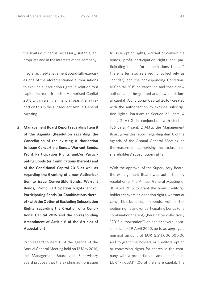the limits outlined is necessary, suitable, appropriate and in the interests of the company.

 Insofar as the Management Board fully exercises one of the aforementioned authorisations to exclude subscription rights in relation to a capital increase from the Authorised Capital 2016 within a single financial year, it shall report on this in the subsequent Annual General Meeting.

**2. Management Board Report regarding Item 8 of the Agenda (Resolution regarding the Cancellation of the existing Authorisation to issue Convertible Bonds, Warrant Bonds, Profit Participation Rights and/or Participating Bonds (or Combinations thereof) and of the Conditional Capital 2015 as well as regarding the Granting of a new Authorisation to issue Convertible Bonds, Warrant Bonds, Profit Participation Rights and/or Participating Bonds (or Combinations thereof) with the Option of Excluding Subscription Rights, regarding the Creation of a Conditional Capital 2016 and the corresponding Amendment of Article 6 of the Articles of Association)**

 With regard to item 8 of the agenda of the Annual General Meeting held on 12 May 2016, the Management Board and Supervisory Board propose that the existing authorisation to issue option rights, warrant or convertible bonds, profit participation rights and participating bonds (or combinations thereof) (hereinafter also referred to collectively as "bonds") and the corresponding Conditional Capital 2015 be cancelled and that a new authorisation be granted and new conditional capital (Conditional Capital 2016) created with the authorisation to exclude subscription rights. Pursuant to Section 221 para. 4 sent. 2 AktG in conjunction with Section 186 para. 4 sent. 2 AktG, the Management Board gives this report regarding item 8 of the agenda of the Annual General Meeting on the reasons for authorising the exclusion of shareholders' subscription rights.

 With the approval of the Supervisory Board, the Management Board was authorised by resolution of the Annual General Meeting of 30 April 2015 to grant the bond creditors/ holders conversion or option rights, warrant or convertible bonds option bonds, profit participation rights and/or participating bonds (or a combination thereof) (hereinafter collectively "2015 authorisation") on one or several occasions up to 29 April 2020, up to an aggregate nominal amount of EUR 5,311,000,000.00 and to grant the holders or creditors option or conversion rights for shares in the company with a proportionate amount of up to EUR 177,053,114.00 of the share capital. The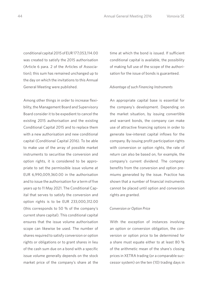conditional capital 2015 of EUR 177,053,114.00 was created to satisfy the 2015 authorisation (Article 6 para. 2 of the Articles of Association); this sum has remained unchanged up to the day on which the invitations to this Annual General Meeting were published.

 Among other things in order to increase flexibility, the Management Board and Supervisory Board consider it to be expedient to cancel the existing 2015 authorisation and the existing Conditional Capital 2015 and to replace them with a new authorisation and new conditional capital (Conditional Capital 2016). To be able to make use of the array of possible market instruments to securitise the conversion and option rights, it is considered to be appropriate to set the permissible issue volume at EUR 6,990,009,360.00 in the authorisation and to issue the authorisation for a term of five years up to 11 May 2021. The Conditional Capital that serves to satisfy the conversion and option rights is to be EUR 233,000,312.00 (this corresponds to 50 % of the company's current share capital). This conditional capital ensures that the issue volume authorisation scope can likewise be used. The number of shares required to satisfy conversion or option rights or obligations or to grant shares in lieu of the cash sum due on a bond with a specific issue volume generally depends on the stock market price of the company's share at the time at which the bond is issued. If sufficient conditional capital is available, the possibility of making full use of the scope of the authorisation for the issue of bonds is guaranteed.

#### *Advantage of such Financing Instruments*

 An appropriate capital base is essential for the company's development. Depending on the market situation, by issuing convertible and warrant bonds, the company can make use of attractive financing options in order to generate low-interest capital inflows for the company. By issuing profit participation rights with conversion or option rights, the rate of return can also be based on, for example, the company's current dividend. The company benefits from the conversion and option premiums generated by the issue. Practice has shown that a number of financial instruments cannot be placed until option and conversion rights are granted.

#### *Conversion or Option Price*

 With the exception of instances involving an option or conversion obligation, the conversion or option price to be determined for a share must equate either to at least 80 % of the arithmetic mean of the share's closing prices in XETRA trading (or a comparable successor system) on the ten (10) trading days in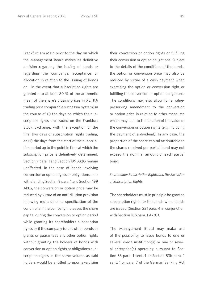Frankfurt am Main prior to the day on which the Management Board makes its definitive decision regarding the issuing of bonds or regarding the company's acceptance or allocation in relation to the issuing of bonds or – in the event that subscription rights are granted – to at least 80 % of the arithmetic mean of the share's closing prices in XETRA trading (or a comparable successor system) in the course of (i) the days on which the subscription rights are traded on the Frankfurt Stock Exchange, with the exception of the final two days of subscription rights trading, or (ii) the days from the start of the subscription period up to the point in time at which the subscription price is definitively determined. Section 9 para. 1 and Section 199 AktG remain unaffected. In the case of bonds involving conversion or option rights or obligations, notwithstanding Section 9 para. 1 and Section 199 AktG, the conversion or option price may be reduced by virtue of an anti-dilution provision following more detailed specification of the conditions if the company increases the share capital during the conversion or option period while granting its shareholders subscription rights or if the company issues other bonds or grants or guarantees any other option rights without granting the holders of bonds with conversion or option rights or obligations subscription rights in the same volume as said holders would be entitled to upon exercising

their conversion or option rights or fulfilling their conversion or option obligations. Subject to the details of the conditions of the bonds, the option or conversion price may also be reduced by virtue of a cash payment when exercising the option or conversion right or fulfilling the conversion or option obligations. The conditions may also allow for a valuepreserving amendment to the conversion or option price in relation to other measures which may lead to the dilution of the value of the conversion or option rights (e.g. including the payment of a dividend). In any case, the proportion of the share capital attributable to the shares received per partial bond may not exceed the nominal amount of each partial bond.

## *Shareholder Subscription Rights and the Exclusion of Subscription Rights*

 The shareholders must in principle be granted subscription rights for the bonds when bonds are issued (Section 221 para. 4 in conjunction with Section 186 para. 1 AktG).

 The Management Board may make use of the possibility to issue bonds to one or several credit institution(s) or one or several enterprise(s) operating pursuant to Section 53 para. 1 sent. 1 or Section 53b para. 1 sent. 1 or para. 7 of the German Banking Act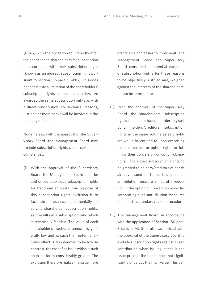(KWG) with the obligation to indirectly offer the bonds to the shareholders for subscription in accordance with their subscription right (known as an indirect subscription right pursuant to Section 186 para. 5 AktG). This does not constitute a limitation of the shareholders' subscription rights as the shareholders are awarded the same subscription rights as with a direct subscription. For technical reasons, just one or more banks will be involved in the handling of this.

 Nonetheless, with the approval of the Supervisory Board, the Management Board may exclude subscription rights under certain circumstances:

 (i) With the approval of the Supervisory Board, the Management Board shall be authorised to exclude subscription rights for fractional amounts. The purpose of this subscription rights exclusion is to facilitate an issuance fundamentally involving shareholder subscription rights, as it results in a subscription ratio which is technically feasible. The value of each shareholder's fractional amount is generally low and as such their potential dilutive effect is also deemed to be low. In contrast, the cost of an issue without such an exclusion is considerably greater. The exclusion therefore makes the issue more practicable and easier to implement. The Management Board and Supervisory Board consider the potential exclusion of subscription rights for these reasons to be objectively justified and, weighed against the interests of the shareholders, to also be appropriate.

- (ii) With the approval of the Supervisory Board, the shareholders' subscription rights shall be excluded in order to grant bond holders/creditors subscription rights in the same volume as said holders would be entitled to upon exercising their conversion or option rights or fulfilling their conversion or option obligations. This allows subscription rights to be granted to holders/creditors of bonds already issued or to be issued as an anti-dilution measure in lieu of a reduction in the option or conversion price. Incorporating such anti-dilution measures into bonds is standard market procedure.
- (iii) The Management Board, in accordance with the application of Section 186 para. 3 sent. 4 AktG, is also authorised with the approval of the Supervisory Board to exclude subscription rights against a cash contribution when issuing bonds if the issue price of the bonds does not significantly undercut their fair value. This can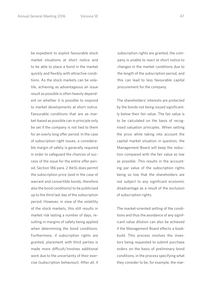be expedient to exploit favourable stock market situations at short notice and to be able to place a bond in the market quickly and flexibly with attractive conditions. As the stock markets can be volatile, achieving as advantageous an issue result as possible is often heavily dependent on whether it is possible to respond to market developments at short notice. Favourable conditions that are as market-based as possible can in principle only be set if the company is not tied to them for an overly long offer period. In the case of subscription right issues, a considerable margin of safety is generally required in order to safeguard the chances of success of the issue for the entire offer period. Section 186 para. 2 AktG does permit the subscription price (and in the case of warrant and convertible bonds, therefore also the bond conditions) to be publicised up to the third last day of the subscription period. However, in view of the volatility of the stock markets, this still results in market risk lasting a number of days, resulting in margins of safety being applied when determining the bond conditions. Furthermore, if subscription rights are granted, placement with third parties is made more difficult/involves additional work due to the uncertainty of their exercise (subscription behaviour). After all, if

subscription rights are granted, the company is unable to react at short notice to changes in the market conditions due to the length of the subscription period, and this can lead to less favourable capital procurement for the company.

 The shareholders' interests are protected by the bonds not being issued significantly below their fair value. The fair value is to be calculated on the basis of recognised valuation principles. When setting the price while taking into account the capital market situation in question, the Management Board will keep the reduction compared with the fair value as low as possible. This results in the accounting par value of the subscription rights being so low that the shareholders are not subject to any significant economic disadvantage as a result of the exclusion of subscription rights.

 The market-oriented setting of the conditions and thus the avoidance of any significant value dilution can also be achieved if the Management Board effects a bookbuild. This process involves the investors being requested to submit purchase orders on the basis of preliminary bond conditions, in the process specifying what they consider to be, for example, the mar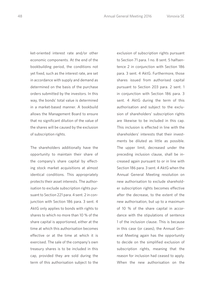ket-oriented interest rate and/or other economic components. At the end of the bookbuilding period, the conditions not yet fixed, such as the interest rate, are set in accordance with supply and demand as determined on the basis of the purchase orders submitted by the investors. In this way, the bonds' total value is determined in a market-based manner. A bookbuild allows the Management Board to ensure that no significant dilution of the value of the shares will be caused by the exclusion of subscription rights.

 The shareholders additionally have the opportunity to maintain their share of the company's share capital by effecting stock market acquisitions at almost identical conditions. This appropriately protects their asset interests. The authorisation to exclude subscription rights pursuant to Section 221 para. 4 sent. 2 in conjunction with Section 186 para. 3 sent. 4 AktG only applies to bonds with rights to shares to which no more than 10 % of the share capital is apportioned, either at the time at which this authorisation becomes effective or at the time at which it is exercised. The sale of the company's own treasury shares is to be included in this cap, provided they are sold during the term of this authorisation subject to the

exclusion of subscription rights pursuant to Section 71 para. 1 no. 8 sent. 5 halfsentence 2 in conjunction with Section 186 para. 3 sent. 4 AktG. Furthermore, those shares issued from authorised capital pursuant to Section 203 para. 2 sent. 1 in conjunction with Section 186 para. 3 sent. 4 AktG during the term of this authorisation and subject to the exclusion of shareholders' subscription rights are likewise to be included in this cap. This inclusion is effected in line with the shareholders' interests that their investments be diluted as little as possible. The upper limit, decreased under the preceding inclusion clause, shall be increased again pursuant to or in line with Section 186 para. 3 sent. 4 AktG when the Annual General Meeting resolution on new authorisation to exclude shareholder subscription rights becomes effective after the decrease, to the extent of the new authorisation, but up to a maximum of 10 % of the share capital in accordance with the stipulations of sentence 1 of the inclusion clause. This is because in this case (or cases), the Annual General Meeting again has the opportunity to decide on the simplified exclusion of subscription rights, meaning that the reason for inclusion had ceased to apply. When the new authorisation on the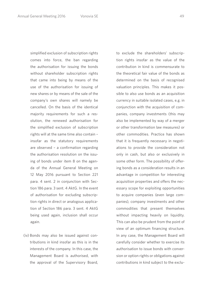simplified exclusion of subscription rights comes into force, the ban regarding the authorisation for issuing the bonds without shareholder subscription rights that came into being by means of the use of the authorisation for issuing of new shares or by means of the sale of the company's own shares will namely be cancelled. On the basis of the identical majority requirements for such a resolution, the renewed authorisation for the simplified exclusion of subscription rights will at the same time also contain – insofar as the statutory requirements are observed – a confirmation regarding the authorisation resolution on the issuing of bonds under item 8 on the agenda of the Annual General Meeting on 12 May 2016 pursuant to Section 221 para. 4 sent. 2 in conjunction with Section 186 para. 3 sent. 4 AktG. In the event of authorisation for excluding subscription rights in direct or analogous application of Section 186 para. 3 sent. 4 AktG being used again, inclusion shall occur again.

 (iv) Bonds may also be issued against contributions in kind insofar as this is in the interests of the company. In this case, the Management Board is authorised, with the approval of the Supervisory Board,

to exclude the shareholders' subscription rights insofar as the value of the contribution in kind is commensurate to the theoretical fair value of the bonds as determined on the basis of recognised valuation principles. This makes it possible to also use bonds as an acquisition currency in suitable isolated cases, e.g. in conjunction with the acquisition of companies, company investments (this may also be implemented by way of a merger or other transformation law measures) or other commodities. Practice has shown that it is frequently necessary in negotiations to provide the consideration not only in cash, but also or exclusively in some other form. The possibility of offering bonds as a consideration results in an advantage in competition for interesting acquisition properties and offers the necessary scope for exploiting opportunities to acquire companies (even large companies), company investments and other commodities that present themselves without impacting heavily on liquidity. This can also be prudent from the point of view of an optimum financing structure. In any case, the Management Board will carefully consider whether to exercise its authorisation to issue bonds with conversion or option rights or obligations against contributions in kind subject to the exclu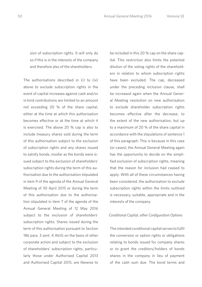sion of subscription rights. It will only do so if this is in the interests of the company and therefore also of the shareholders.

 The authorisations described in (i) to (iv) above to exclude subscription rights in the event of capital increases against cash and/or in kind contributions are limited to an amount not exceeding 20 % of the share capital, either at the time at which this authorisation becomes effective or at the time at which it is exercised. The above 20 % cap is also to include treasury shares sold during the term of this authorisation subject to the exclusion of subscription rights and any shares issued to satisfy bonds, insofar as the bonds were issued subject to the exclusion of shareholders' subscription rights during the term of this authorisation due to the authorisation stipulated in item 9 of the agenda of the Annual General Meeting of 30 April 2015 or during the term of this authorisation due to the authorisation stipulated in item 7 of the agenda of the Annual General Meeting of 12 May 2016 subject to the exclusion of shareholders' subscription rights. Shares issued during the term of this authorisation pursuant to Section 186 para. 3 sent. 4 AktG on the basis of other corporate action and subject to the exclusion of shareholders' subscription rights, particularly those under Authorised Capital 2013 and Authorised Capital 2015, are likewise to be included in this 20 % cap on the share capital. This restriction also limits the potential dilution of the voting rights of the shareholders in relation to whom subscription rights have been excluded. The cap, decreased under the preceding inclusion clause, shall be increased again when the Annual General Meeting resolution on new authorisation to exclude shareholder subscription rights becomes effective after the decrease, to the extent of the new authorisation, but up to a maximum of 20 % of the share capital in accordance with the stipulations of sentence 1 of this paragraph. This is because in this case (or cases), the Annual General Meeting again has the opportunity to decide on the simplified exclusion of subscription rights, meaning that the reason for inclusion had ceased to apply. With all of these circumstances having been considered, the authorisation to exclude subscription rights within the limits outlined is necessary, suitable, appropriate and in the interests of the company.

## *Conditional Capital, other Configuration Options*

 The intended conditional capital serves to fulfil the conversion or option rights or obligations relating to bonds issued for company shares or to grant the creditors/holders of bonds shares in the company in lieu of payment of the cash sum due. The bond terms and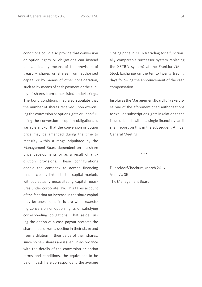conditions could also provide that conversion or option rights or obligations can instead be satisfied by means of the provision of treasury shares or shares from authorised capital or by means of other consideration, such as by means of cash payment or the supply of shares from other listed undertakings. The bond conditions may also stipulate that the number of shares received upon exercising the conversion or option rights or upon fulfilling the conversion or option obligations is variable and/or that the conversion or option price may be amended during the time to maturity within a range stipulated by the Management Board dependent on the share price developments or as a result of antidilution provisions. These configurations enable the company to access financing that is closely linked to the capital markets without actually necessitating capital measures under corporate law. This takes account of the fact that an increase in the share capital may be unwelcome in future when exercising conversion or option rights or satisfying corresponding obligations. That aside, using the option of a cash payout protects the shareholders from a decline in their stake and from a dilution in their value of their shares, since no new shares are issued. In accordance with the details of the conversion or option terms and conditions, the equivalent to be paid in cash here corresponds to the average

closing price in XETRA trading (or a functionally comparable successor system replacing the XETRA system) at the Frankfurt/Main Stock Exchange on the ten to twenty trading days following the announcement of the cash compensation.

 Insofar as the Management Board fully exercises one of the aforementioned authorisations to exclude subscription rights in relation to the issue of bonds within a single financial year, it shall report on this in the subsequent Annual General Meeting.

\* \* \*

 Düsseldorf/Bochum, March 2016 Vonovia SE The Management Board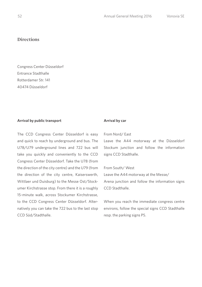## **Directions**

Congress Center Düsseldorf Entrance Stadthalle Rotterdamer Str. 141 40474 Düsseldorf

## **Arrival by public transport**

The CCD Congress Center Düsseldorf is easy and quick to reach by underground and bus. The U78/U79 underground lines and 722 bus will take you quickly and conveniently to the CCD Congress Center Düsseldorf. Take the U78 (from the direction of the city centre) and the U79 (from the direction of the city centre, Kaiserswerth, Wittlaer und Duisburg) to the Messe Ost/Stockumer Kirchstrasse stop. From there it is a roughly 15-minute walk, across Stockumer Kirchstrasse, to the CCD Congress Center Düsseldorf. Alternatively you can take the 722 bus to the last stop CCD Süd/Stadthalle.

## **Arrival by car**

## From Nord/ East

Leave the A44 motorway at the Düsseldorf Stockum junction and follow the information signs CCD Stadthalle.

#### From South/ West

Leave the A44 motorway at the Messe/ Arena junction and follow the information signs CCD Stadthalle.

When you reach the immediate congress centre environs, follow the special signs CCD Stadthalle resp. the parking signs P5.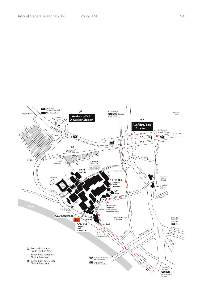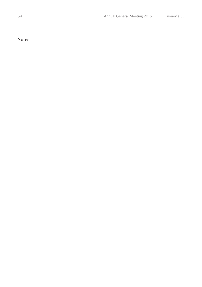**Notes**